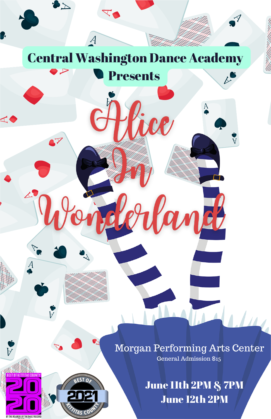

 $\vec{A}$ 

 $\blacktriangleright$ 

 $\blacktriangleleft$ 

 $\overline{A}$ 

Ý

 $\mathcal{A}_{\mathcal{A}}$ 

Presents

ice

Morgan Performing Arts Center General Admission \$15

Kanch

June 11th 2PM & 7PM June 12th 2PM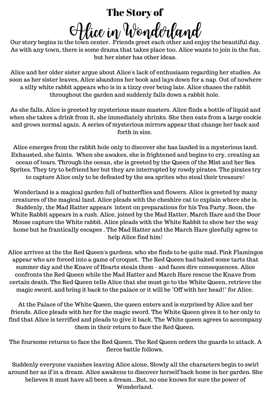### The Story of

Alice in Wonderland

Our story begins in the town center. Friends greet each other and enjoy the beautiful day. As with any town, there is some drama that takes place too. Alice wants to join in the fun, but her sister has other ideas.

Alice and her older sister argue about Alice's lack of enthusiasm regarding her studies. As soon as her sister leaves, Alice abandons her book and lays down for a nap. Out of nowhere a silly white rabbit appears who is in a tizzy over being late. Alice chases the rabbit throughout the garden and suddenly falls down a rabbit hole.

As she falls, Alice is greeted by mysterious maze masters. Alice finds a bottle of liquid and when she takes a drink from it, she immediately shrinks. She then eats from a large cookie and grows normal again. A series of mysterious mirrors appear that change her back and forth in size.

Alice emerges from the rabbit hole only to discover she has landed in a mysterious land. Exhausted, she faints. When she awakes, she is frightened and begins to cry, creating an ocean of tears. Through the ocean, she is greeted by the Queen of the Mist and her Sea Sprites. They try to befriend her but they are interrupted by rowdy pirates. The pirates try to capture Alice only to be defeated by the sea sprites who steal their treasure!

Wonderland is a magical garden full of butterflies and flowers. Alice is greeted by many creatures of the magical land. Alice pleads with the cheshire cat to explain where she is. Suddenly, the Mad Hatter appears intent on preparations for his Tea Party. Soon, the White Rabbit appears in a rush. Alice, joined by the Mad Hatter, March Hare and the Door Mouse capture the White rabbit. Alice pleads with the White Rabbit to show her the way home but he frantically escapes . The Mad Hatter and the March Hare gleefully agree to help Alice find him!

Alice arrives at the the Red Queen's gardens, who she finds to be quite mad. Pink Flamingos appear who are forced into a game of croquet. The Red Queen had baked some tarts that summer day and the Knave of Hearts steals them - and faces dire consequences. Alice confronts the Red Queen while the Mad Hatter and March Hare rescue the Knave from certain death. The Red Queen tells Alice that she must go to the White Queen, retrieve the magic sword, and bring it back to the palace or it will be "Off with her head!" for Alice.

At the Palace of the White Queen, the queen enters and is surprised by Alice and her friends. Alice pleads with her for the magic sword. The White Queen gives it to her only to find that Alice is terrified and pleads to give it back. The White queen agrees to accompany them in their return to face the Red Queen.

The foursome returns to face the Red Queen. The Red Queen orders the guards to attack. A fierce battle follows.

Suddenly everyone vanishes leaving Alice alone, Slowly all the characters begin to swirl around her as if in a dream. Alice awakens to discover herself back home in her garden. She believes it must have all been a dream...But, no one knows for sure the power of Wonderland.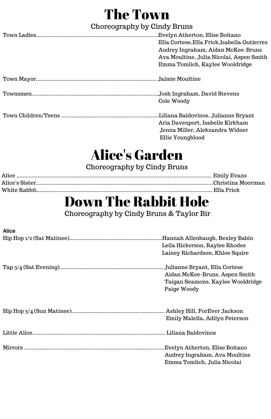## The Town

### Choreography by Cindy Bruns

| .Evelyn Atherton, Elise Boitano            |
|--------------------------------------------|
| Ella Cortese.Ella Frick.Isabella Gutierrez |
| Audrey Ingraham, Aidan McKee-Bruns         |
| Ava Moultine, Julia Nicolai, Aspen Smith   |
| Emma Tomlich, Kaylee Wooldridge            |
|                                            |
| .Josh Ingraham, David Stevens              |
| Cole Woody                                 |
| Liliana Baldovinos, Julianne Bryant.       |
| Aria Davenport, Isabelle Kirkham           |
| Jenna Miller. Alekzandra Widner            |
| Ellie Youngblood                           |

## Alice's Garden

### Choreography by Cindy Bruns

## Down The Rabbit Hole

Choreography by Cindy Bruns & Taylor Bir

| <b>Alice</b> |                                   |
|--------------|-----------------------------------|
|              |                                   |
|              | Leila Hickerson, Raylee Rhodes    |
|              | Lainey Richardson, Khloe Squire   |
|              | Julianne Bryant, Ella Cortese     |
|              | Aidan McKee-Bruns, Aspen Smith    |
|              | Taigan Seamons, Kaylee Wooldridge |
|              | Paige Woody                       |
|              |                                   |
|              |                                   |
|              | Emily Malella, Adilyn Peterson    |
|              |                                   |
|              | Evelyn Atherton, Elise Boitano.   |
|              | Audrey Ingraham, Ava Moultine     |
|              | Emma Tomlich, Julia Nicolai       |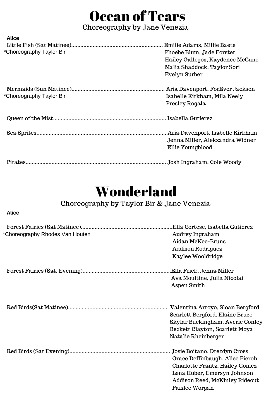# Ocean of Tears

### Choreography by Jane Venezia

| Alice                    |                                    |
|--------------------------|------------------------------------|
|                          | Emilie Adams, Millie Baete         |
| *Choreography Taylor Bir | Phoebe Blum. Jade Forster          |
|                          | Hailey Gallegos, Kaydence McCune   |
|                          | Malia Shaddock, Taylor Sori        |
|                          | Evelyn Surber                      |
|                          | Aria Davenport, ForEver Jackson    |
| *Choreography Taylor Bir | Isabelle Kirkham, Mila Neely       |
|                          | Presley Rogala                     |
|                          |                                    |
|                          | . Aria Davenport, Isabelle Kirkham |
|                          | Jenna Miller. Alekzandra Widner.   |
|                          | Ellie Youngblood                   |
|                          | Josh Ingraham, Cole Woody          |

## Wonderland

### Choreography by Taylor Bir & Jane Venezia

#### **Alice**

| *Choreography Rhodes Van Houten | .Ella Cortese, Isabella Gutierez<br>Audrey Ingraham<br>Aidan McKee-Bruns<br>Addison Rodriguez<br>Kaylee Wooldridge                                                                   |
|---------------------------------|--------------------------------------------------------------------------------------------------------------------------------------------------------------------------------------|
|                                 | Ava Moultine, Julia Nicolai<br>Aspen Smith                                                                                                                                           |
|                                 | Scarlett Bergford, Elaine Bruce<br>Skylar Buckingham, Averie Conley<br>Beckett Clayton, Scarlett Moya<br>Natalie Rheinberger                                                         |
|                                 | Josie Boitano, Drezdyn Cross<br>Grace Deffinbaugh, Alice Fieroh<br>Charlotte Frantz, Hailey Gomez<br>Lena Huber, Emersyn Johnson<br>Addison Reed, McKinley Rideout<br>Paislee Worgan |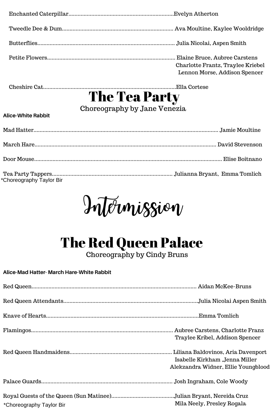| Elaine Bruce, Aubree Carstens<br>Charlotte Frantz, Traylee Kriebel<br>Lennon Morse, Addison Spencer |
|-----------------------------------------------------------------------------------------------------|

Cheshire Cat.......................................................................................Ella Cortese

## The Tea Party

Choreography by Jane Venezia

### **Alice-White Rabbit**

| *Choreography Taylor Bir |  |
|--------------------------|--|

Intermission

# The Red Queen Palace

Choreography by Cindy Bruns

### **Alice-Mad Hatter- March Hare-White Rabbit**

|                          | Traylee Kribel, Addison Spencer                                       |
|--------------------------|-----------------------------------------------------------------------|
|                          | Isabelle Kirkham "Jenna Miller<br>Alekzandra Widner, Ellie Youngblood |
|                          |                                                                       |
| *Choreography Taylor Bir | Mila Neely, Presley Rogala                                            |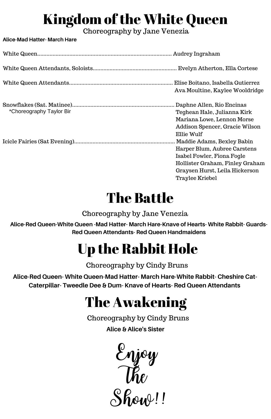# Kingdom of the White Queen

Choreography by Jane Venezia

**Alice-Mad Hatter- March Hare**

|                          | Elise Boitano, Isabella Gutierrez<br>Ava Moultine, Kaylee Wooldridge                                                                                                             |
|--------------------------|----------------------------------------------------------------------------------------------------------------------------------------------------------------------------------|
| *Choreography Taylor Bir | Daphne Allen, Rio Encinas<br>Teghean Hale, Julianna Kirk<br>Mariana Lowe, Lennon Morse<br>Addison Spencer, Gracie Wilson<br>Ellie Wulf                                           |
|                          | Maddie Adams, Bexley Babin<br>Harper Blum, Aubree Carstens<br>Isabel Fowler, Fiona Fogle<br>Hollister Graham, Finley Graham<br>Graysen Hurst, Leila Hickerson<br>Traylee Kriebel |

# The Battle

Choreography by Jane Venezia

**Alice-Red Queen-White Queen -Mad Hatter- March Hare-Knave of Hearts- White Rabbit- Guards-Red Queen Attendants- Red Queen Handmaidens**

# Up the Rabbit Hole

Choreography by Cindy Bruns

**Alice-Red Queen- White Queen-Mad Hatter- March Hare-White Rabbit- Cheshire Cat-Caterpillar- Tweedle Dee & Dum- Knave of Hearts- Red Queen Attendants**

# The Awakening

Choreography by Cindy Bruns

**Alice & Alice's Sister**

Enjoy  $\mathcal{U}$ Show!!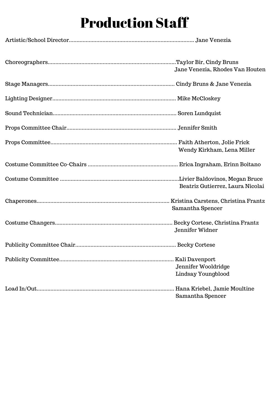## Production Staff

| Jane Venezia, Rhodes Van Houten           |
|-------------------------------------------|
|                                           |
|                                           |
|                                           |
|                                           |
| Wendy Kirkham, Lena Miller                |
|                                           |
| Beatriz Gutierrez, Laura Nicolai          |
| Samantha Spencer                          |
| Jennifer Widner                           |
|                                           |
| Jennifer Wooldridge<br>Lindsay Youngblood |
| Samantha Spencer                          |